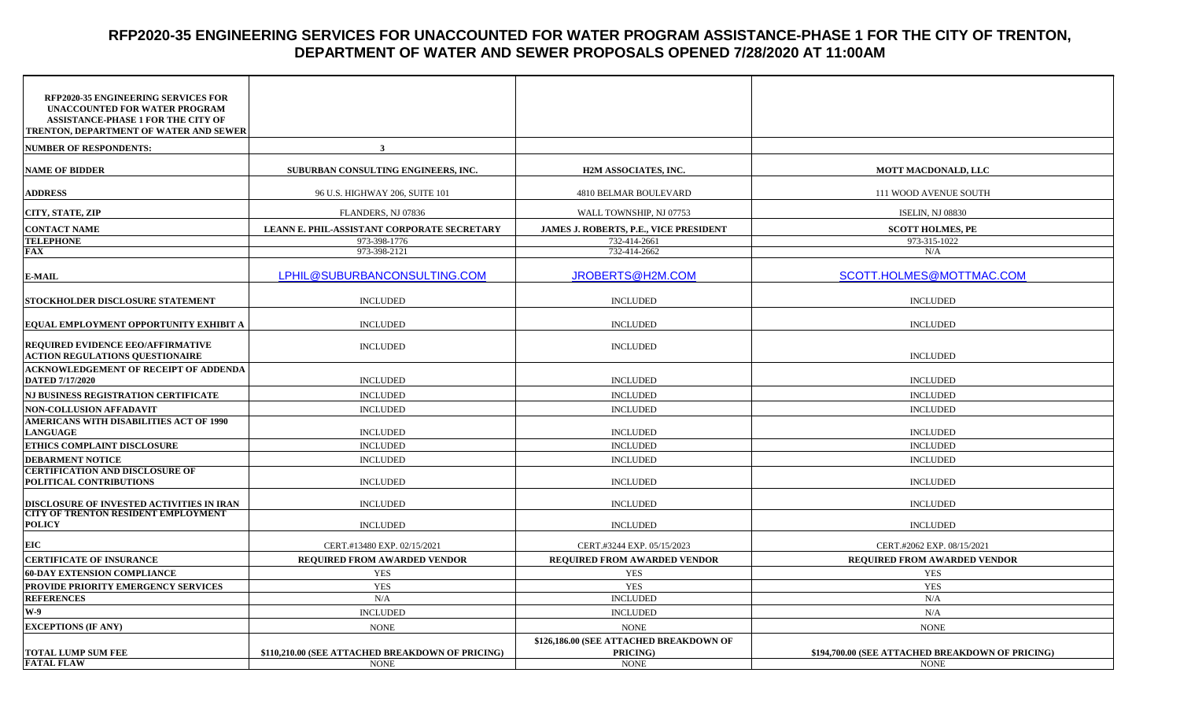## **RFP2020-35 ENGINEERING SERVICES FOR UNACCOUNTED FOR WATER PROGRAM ASSISTANCE-PHASE 1 FOR THE CITY OF TRENTON, DEPARTMENT OF WATER AND SEWER PROPOSALS OPENED 7/28/2020 AT 11:00AM**

| <b>RFP2020-35 ENGINEERING SERVICES FOR</b><br>UNACCOUNTED FOR WATER PROGRAM<br><b>ASSISTANCE-PHASE 1 FOR THE CITY OF</b><br>TRENTON, DEPARTMENT OF WATER AND SEWER |                                                  |                                               |                                                  |
|--------------------------------------------------------------------------------------------------------------------------------------------------------------------|--------------------------------------------------|-----------------------------------------------|--------------------------------------------------|
| <b>NUMBER OF RESPONDENTS:</b>                                                                                                                                      | $\overline{\mathbf{3}}$                          |                                               |                                                  |
| <b>NAME OF BIDDER</b>                                                                                                                                              | SUBURBAN CONSULTING ENGINEERS, INC.              | <b>H2M ASSOCIATES, INC.</b>                   | <b>MOTT MACDONALD, LLC</b>                       |
| <b>ADDRESS</b>                                                                                                                                                     | 96 U.S. HIGHWAY 206, SUITE 101                   | 4810 BELMAR BOULEVARD                         | 111 WOOD AVENUE SOUTH                            |
| <b>CITY, STATE, ZIP</b>                                                                                                                                            | FLANDERS, NJ 07836                               | WALL TOWNSHIP, NJ 07753                       | <b>ISELIN, NJ 08830</b>                          |
| <b>CONTACT NAME</b>                                                                                                                                                | LEANN E. PHIL-ASSISTANT CORPORATE SECRETARY      | <b>JAMES J. ROBERTS, P.E., VICE PRESIDENT</b> | <b>SCOTT HOLMES, PE</b>                          |
| <b>TELEPHONE</b>                                                                                                                                                   | 973-398-1776                                     | 732-414-2661                                  | 973-315-1022                                     |
| FAX                                                                                                                                                                | 973-398-2121                                     | 732-414-2662                                  | N/A                                              |
| <b>E-MAIL</b>                                                                                                                                                      | LPHIL@SUBURBANCONSULTING.COM                     | JROBERTS@H2M.COM                              | SCOTT.HOLMES@MOTTMAC.COM                         |
| STOCKHOLDER DISCLOSURE STATEMENT                                                                                                                                   | <b>INCLUDED</b>                                  | <b>INCLUDED</b>                               | <b>INCLUDED</b>                                  |
| EQUAL EMPLOYMENT OPPORTUNITY EXHIBIT A                                                                                                                             | <b>INCLUDED</b>                                  | <b>INCLUDED</b>                               | <b>INCLUDED</b>                                  |
| <b>REQUIRED EVIDENCE EEO/AFFIRMATIVE</b><br><b>ACTION REGULATIONS QUESTIONAIRE</b>                                                                                 | <b>INCLUDED</b>                                  | <b>INCLUDED</b>                               | <b>INCLUDED</b>                                  |
| <b>ACKNOWLEDGEMENT OF RECEIPT OF ADDENDA</b><br><b>DATED 7/17/2020</b>                                                                                             | <b>INCLUDED</b>                                  | <b>INCLUDED</b>                               | <b>INCLUDED</b>                                  |
| NJ BUSINESS REGISTRATION CERTIFICATE                                                                                                                               | <b>INCLUDED</b>                                  | <b>INCLUDED</b>                               | <b>INCLUDED</b>                                  |
| <b>NON-COLLUSION AFFADAVIT</b>                                                                                                                                     | <b>INCLUDED</b>                                  | <b>INCLUDED</b>                               | <b>INCLUDED</b>                                  |
| <b>AMERICANS WITH DISABILITIES ACT OF 1990</b><br><b>LANGUAGE</b>                                                                                                  | <b>INCLUDED</b>                                  | <b>INCLUDED</b>                               | <b>INCLUDED</b>                                  |
| ETHICS COMPLAINT DISCLOSURE                                                                                                                                        | <b>INCLUDED</b>                                  | <b>INCLUDED</b>                               | <b>INCLUDED</b>                                  |
| <b>DEBARMENT NOTICE</b>                                                                                                                                            | <b>INCLUDED</b>                                  | <b>INCLUDED</b>                               | <b>INCLUDED</b>                                  |
| <b>CERTIFICATION AND DISCLOSURE OF</b><br>POLITICAL CONTRIBUTIONS                                                                                                  | <b>INCLUDED</b>                                  | <b>INCLUDED</b>                               | <b>INCLUDED</b>                                  |
| <b>DISCLOSURE OF INVESTED ACTIVITIES IN IRAN</b>                                                                                                                   | <b>INCLUDED</b>                                  | <b>INCLUDED</b>                               | <b>INCLUDED</b>                                  |
| <b>CITY OF TRENTON RESIDENT EMPLOYMENT</b><br><b>POLICY</b>                                                                                                        | <b>INCLUDED</b>                                  | <b>INCLUDED</b>                               | <b>INCLUDED</b>                                  |
| EIC                                                                                                                                                                | CERT.#13480 EXP. 02/15/2021                      | CERT.#3244 EXP. 05/15/2023                    | CERT.#2062 EXP. 08/15/2021                       |
| <b>CERTIFICATE OF INSURANCE</b>                                                                                                                                    | <b>REQUIRED FROM AWARDED VENDOR</b>              | <b>REQUIRED FROM AWARDED VENDOR</b>           | <b>REQUIRED FROM AWARDED VENDOR</b>              |
| <b>60-DAY EXTENSION COMPLIANCE</b>                                                                                                                                 | <b>YES</b>                                       | <b>YES</b>                                    | YES                                              |
| PROVIDE PRIORITY EMERGENCY SERVICES                                                                                                                                | <b>YES</b>                                       | <b>YES</b>                                    | <b>YES</b>                                       |
| <b>REFERENCES</b>                                                                                                                                                  | N/A                                              | <b>INCLUDED</b>                               | N/A                                              |
| <b>W-9</b>                                                                                                                                                         | <b>INCLUDED</b>                                  | <b>INCLUDED</b>                               | N/A                                              |
| <b>EXCEPTIONS (IF ANY)</b>                                                                                                                                         | <b>NONE</b>                                      | <b>NONE</b>                                   | <b>NONE</b>                                      |
|                                                                                                                                                                    |                                                  | \$126,186.00 (SEE ATTACHED BREAKDOWN OF       |                                                  |
| <b>TOTAL LUMP SUM FEE</b>                                                                                                                                          | \$110,210.00 (SEE ATTACHED BREAKDOWN OF PRICING) | <b>PRICING</b> )                              | \$194,700.00 (SEE ATTACHED BREAKDOWN OF PRICING) |
| <b>FATAL FLAW</b>                                                                                                                                                  | <b>NONE</b>                                      | <b>NONE</b>                                   | <b>NONE</b>                                      |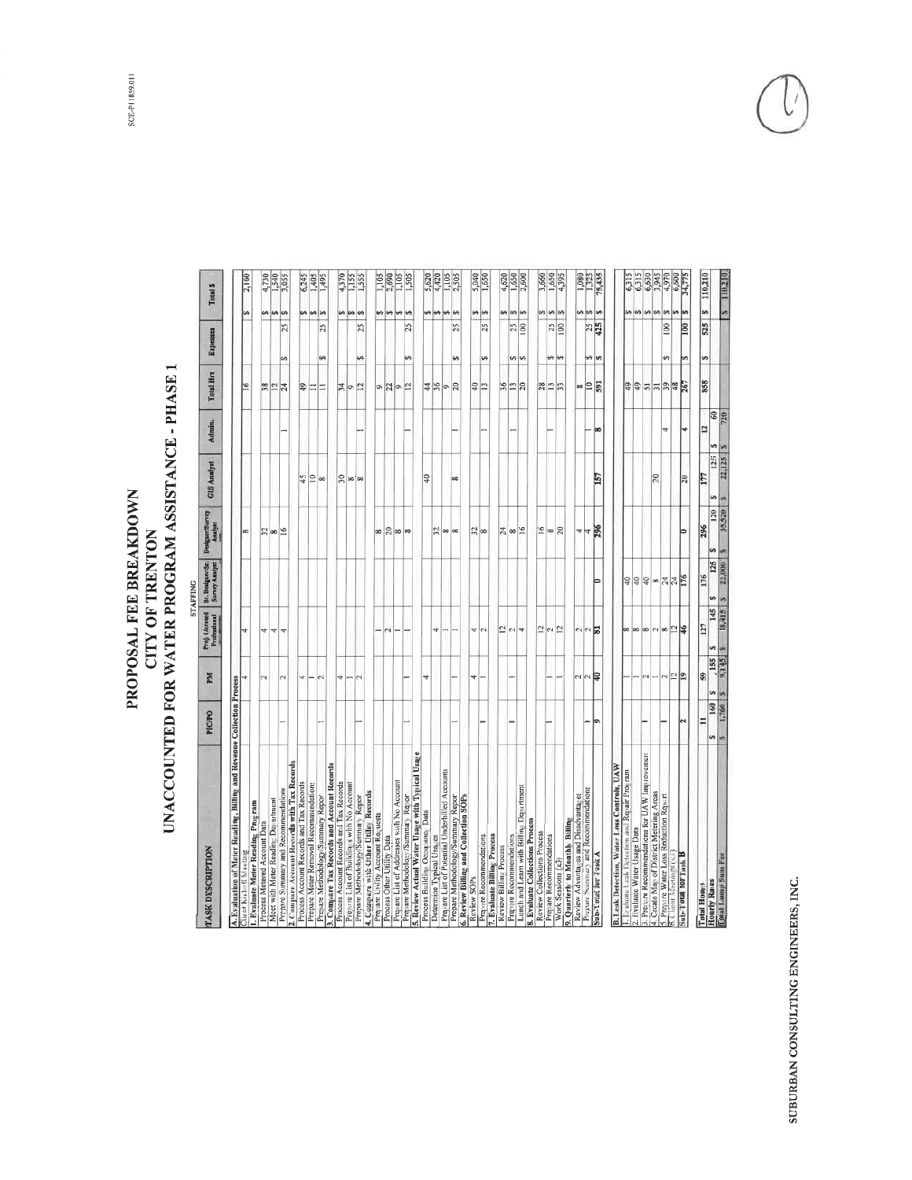UNACCOUNTED FOR WATER PROGRAM ASSISTANCE - PHASE 1 PROPOSAL FEE BREAKDOWN **CITY OF TRENTON** 

**STAFFING** 

| <b>LASK DESCRIPTION</b>                                                              | <b>PIC/PO</b> | PМ                   | Proj. Licented<br>Professional | Sr. Designer/Sr.<br>Survey Analyst | Designer/Survey<br>Analyst         | GIS Analyst        | Admin.         | <b>Total Hrs</b>           | Expenses                            | <b>Total S</b>                                   |                |
|--------------------------------------------------------------------------------------|---------------|----------------------|--------------------------------|------------------------------------|------------------------------------|--------------------|----------------|----------------------------|-------------------------------------|--------------------------------------------------|----------------|
|                                                                                      |               |                      |                                |                                    |                                    |                    |                |                            |                                     |                                                  |                |
| 4. Evaluation of Meter Reading, Billing and Revenue Collection Process               |               |                      |                                |                                    |                                    |                    |                |                            |                                     |                                                  |                |
| I. Evaluate Meter Reading Program<br>Chem Kickett Meeting                            |               | đ                    | 4                              |                                    | loo                                |                    |                | $\frac{6}{2}$              |                                     | 2,160<br>s                                       |                |
| Process Metered Account Data                                                         |               | $\sim$               |                                |                                    |                                    |                    |                |                            |                                     |                                                  |                |
| Meet with Meter Reading Department                                                   |               |                      | 4<br>4                         |                                    |                                    |                    |                |                            |                                     | 4,730<br>69                                      |                |
| Prepare Swmmary and Recommendations                                                  |               | $\sim$               | ₹                              |                                    | $\frac{20}{20}$ so $\frac{10}{20}$ |                    |                | $\frac{38}{24}$            | 25<br>œ                             | 1,540<br>3,055<br>69 69                          |                |
| Compare Account Records with Tax Records                                             |               |                      |                                |                                    |                                    |                    |                |                            |                                     |                                                  |                |
| Process Account Records and Tax Records                                              |               | 4                    |                                |                                    |                                    | 45                 |                | 49                         |                                     |                                                  |                |
| Prepare Meter Removal Recommendations                                                |               |                      |                                |                                    |                                    | $\overline{0}$     |                | Ξ                          |                                     |                                                  |                |
| Prejiare Methodology/Summary Repor                                                   |               | $\sim$               |                                |                                    |                                    | oo                 |                | Ξ                          | 25<br>69                            | $6,245$<br>$1,405$<br>$1,495$<br><b>69 69 69</b> |                |
| 3. Compare Tax Records and Account Records                                           |               |                      |                                |                                    |                                    |                    |                |                            |                                     |                                                  |                |
| Process Account Records and Tax Records                                              |               | $\overline{a}$       |                                |                                    |                                    |                    |                | 24                         |                                     |                                                  |                |
| Prepare List of Buildings with No Account                                            |               |                      |                                |                                    |                                    | $\approx$ $\infty$ |                | ۱o                         |                                     | 4,370<br>1,155<br>69 69 69                       |                |
| Prepare Methodology/Summary Repor                                                    |               | $\mathbf{\tilde{d}}$ |                                |                                    |                                    |                    |                | $\overline{2}$             | 25<br>GA                            |                                                  |                |
| 4. Compare with Other Utility Records                                                |               |                      |                                |                                    |                                    |                    |                |                            |                                     |                                                  |                |
| Prejare Utility Account Requests                                                     |               |                      |                                |                                    | $\infty$                           |                    |                |                            |                                     |                                                  |                |
| Process Other Utility Data                                                           |               |                      | $\sim$                         |                                    | 20                                 |                    |                | 이영이의                       |                                     | $\frac{1,105}{2,690}$<br>69 69                   |                |
| Prepare List of Addresses with No Account                                            |               |                      |                                |                                    | 00 00                              |                    |                |                            |                                     | 49                                               | 1,105          |
| Prepare Methodology/Summary Report                                                   |               |                      |                                |                                    |                                    |                    |                |                            | 25<br>69                            | ۱                                                |                |
| 5. Review Actual Water Usage with Typical Usage                                      |               |                      |                                |                                    |                                    |                    |                |                            |                                     |                                                  |                |
| Process Building Occupancy Data                                                      |               | 4                    |                                |                                    |                                    | $\frac{1}{4}$      |                | $rac{4}{8}$                |                                     | $\frac{5,620}{4,420}$<br>69 69                   |                |
| Determine Typical Usages                                                             |               |                      | 4                              |                                    | 32                                 |                    |                |                            |                                     |                                                  |                |
| Prepare List of Potential Underbilled Accounts                                       |               |                      |                                |                                    | 000                                |                    |                | $\frac{8}{20}$             |                                     | $\frac{1,105}{2,505}$<br>₩                       |                |
| Prepare Methodology/Summary Repor                                                    |               |                      |                                |                                    |                                    | 60                 |                |                            | 25<br>69                            | $\epsilon$                                       |                |
| 6. Review Billing and Collection SOPs                                                |               |                      |                                |                                    |                                    |                    |                |                            |                                     |                                                  |                |
| Review SOP <sub>S</sub>                                                              |               | 4                    | 4                              |                                    | $\frac{2}{3}$ 80                   |                    |                | $\frac{6}{7}$              |                                     | 5,040<br>的                                       |                |
| Propare Recommendations                                                              |               |                      | N                              |                                    |                                    |                    |                | $\mathbb{Z}$               | 25<br>69                            | $\Theta$                                         |                |
| 7. Evaluate Billing Process<br>Review Billing Process                                |               |                      |                                |                                    |                                    |                    |                |                            |                                     |                                                  |                |
|                                                                                      |               |                      | 으                              |                                    | $\frac{5}{4}$ $\infty$             |                    |                | $\frac{8}{25}$             |                                     | 69                                               |                |
| Lunch and Learn with Billing Department<br>Prepare Recommendations                   |               |                      | $\sim$                         |                                    |                                    |                    |                | ∣ສ ສ                       | $\frac{25}{18}$<br><del>us</del> 69 | $4,620$<br>$1,650$<br>$2,600$<br>69              |                |
| 8. Evaluate Collections Process                                                      |               |                      | 4                              |                                    | $\frac{6}{5}$                      |                    |                |                            |                                     | S                                                |                |
| Review Collections Process                                                           |               |                      | $\mathbf{r}$                   |                                    |                                    |                    |                |                            |                                     |                                                  |                |
| Preyare Recommendations                                                              |               |                      | $\sim$                         |                                    | $\frac{16}{2}$ 80                  |                    |                | $\frac{28}{12}$            | $\leftrightarrow$                   | S<br>S                                           | 3,660<br>1,650 |
| Work Sessions (x3)                                                                   |               |                      | $\overline{c}$                 |                                    | $\mathbb{R}$                       |                    |                |                            | $\frac{25}{100}$<br>$\Theta$        |                                                  |                |
| Quarterly to Monthly Billing                                                         |               |                      |                                |                                    |                                    |                    |                |                            |                                     | 4,395<br>s                                       |                |
| Review Advantages and Disadvantages                                                  |               | $\mathbf{\tilde{c}}$ |                                |                                    | 4                                  |                    |                | œ                          |                                     |                                                  |                |
| Prepare Summary and Recommendations                                                  |               | $\sim$               | ∾∾∣≌                           |                                    | 4                                  |                    |                | $\overline{e}$             | 25<br>₩                             | un un                                            | 1,080          |
| Sub-Total for Task A                                                                 | ٠             | ାବ                   |                                | lo                                 | 296                                | 157                | 90             | $\overline{591}$           | 425<br>ø                            | 75,435<br>ø                                      |                |
|                                                                                      |               |                      |                                |                                    |                                    |                    |                |                            |                                     |                                                  |                |
| B. Leak Detection, Water Loss Controls, UAW                                          |               |                      |                                |                                    |                                    |                    |                |                            |                                     |                                                  |                |
| Evaluate Leak Detection and Repair Program                                           |               |                      | 00 00                          | 유용                                 |                                    |                    |                | $\frac{49}{5}$             |                                     | 6,315<br>ø                                       |                |
| Evaluate Water Usage Data                                                            |               |                      |                                |                                    |                                    |                    |                | 49                         |                                     | ø                                                | 6,315          |
| Prepare Recommendations for UAW Improvement<br>Create Map of District Metering Areas |               |                      | $00 \times 00$                 | $9 - 77$                           |                                    |                    |                | $\sqrt{2} \times \sqrt{2}$ |                                     | ø                                                | 6,630<br>3,945 |
| Prepare Water Loss Reduction Report                                                  |               |                      |                                |                                    |                                    | 20                 |                |                            |                                     | 6A                                               |                |
| Chent Meetings (X3                                                                   |               | Ñ                    |                                |                                    |                                    |                    | 4              |                            | $\approx$<br>69                     | 69                                               | 4,970          |
|                                                                                      |               | $\overline{12}$      | $\Xi$                          |                                    |                                    |                    |                |                            |                                     |                                                  | 6,600          |
| Sub-Total for Task B                                                                 | N             | ∣ଛ                   | ¥                              | $\frac{8}{15}$                     | ٠                                  | R                  | 4              | 267                        | 100<br>G,                           | 34,775                                           |                |
| <b>Total Hours</b>                                                                   | ።             | B                    | 127                            | 176                                | 296                                | Ε                  | $\overline{a}$ | 858                        | 525<br>S                            | 110,210<br>59                                    |                |
| <b>Hourly Rates</b>                                                                  | 160<br>ø      | .155<br>S            | 145<br>n                       | 125<br>œ                           | 120<br>69                          | 125<br>GO.         | g<br>s9        |                            |                                     |                                                  |                |
| <b>Total Lump Sum Fer</b>                                                            | 1,760 \$      | 9.145.               | 18,415<br>n                    | 22,000<br>ø                        | 35,520                             | 22,125<br>ø        | 720            |                            |                                     | 0170111                                          |                |

SUBURBAN CONSULTING ENGINEERS, INC.

 $\boxed{\text{8}$  110,210

SCE-PI1859.011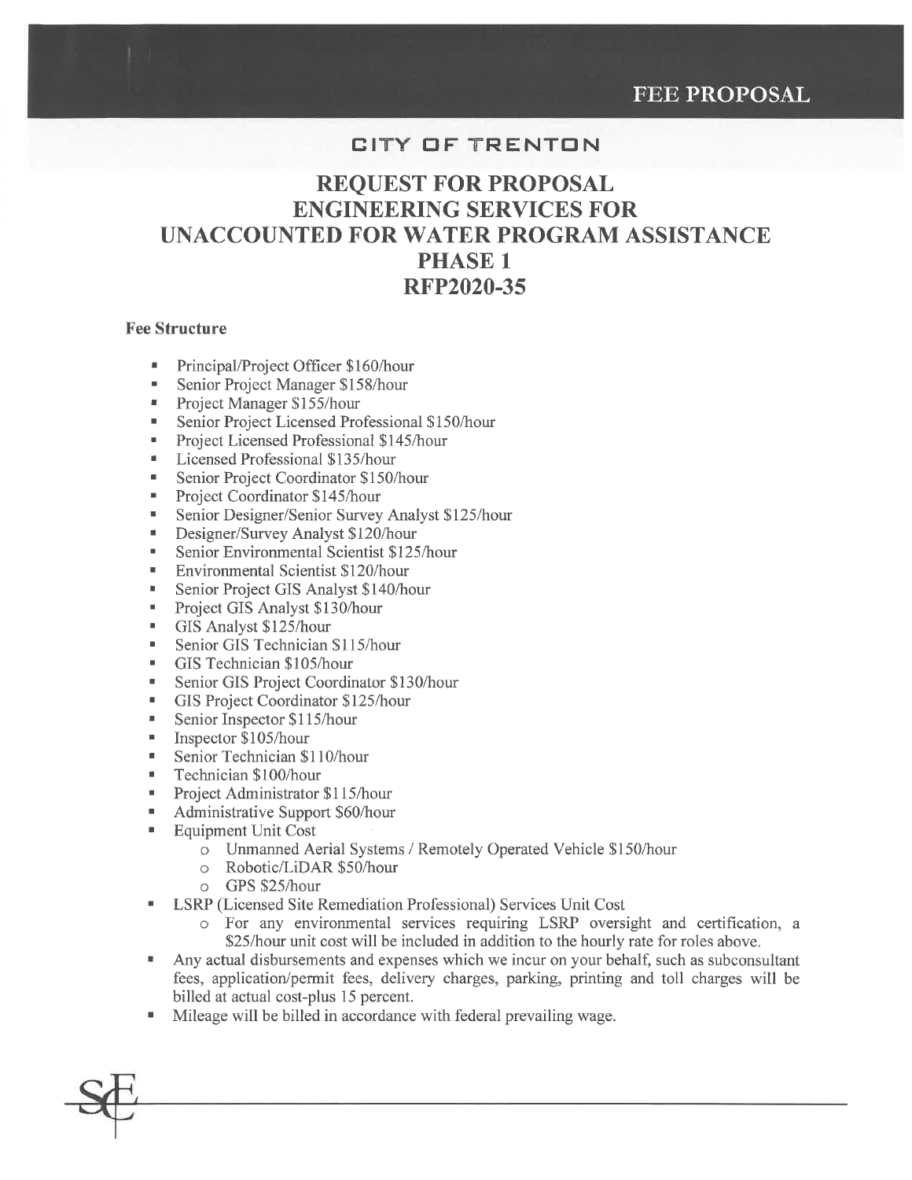## **FEE PROPOSAL**

### CITY OF TRENTON

# **REOUEST FOR PROPOSAL ENGINEERING SERVICES FOR UNACCOUNTED FOR WATER PROGRAM ASSISTANCE PHASE 1 RFP2020-35**

#### **Fee Structure**

- Principal/Project Officer \$160/hour  $\blacksquare$
- $\blacksquare$ Senior Project Manager \$158/hour
- $\blacksquare$ Project Manager \$155/hour
- Senior Project Licensed Professional \$150/hour ×
- Project Licensed Professional \$145/hour  $\blacksquare$
- $\blacksquare$ Licensed Professional \$135/hour
- Senior Project Coordinator \$150/hour  $\blacksquare$
- Project Coordinator \$145/hour  $\blacksquare$
- $\blacksquare$ Senior Designer/Senior Survey Analyst \$125/hour
- Designer/Survey Analyst \$120/hour ň.
- Senior Environmental Scientist \$125/hour
- Environmental Scientist \$120/hour  $\blacksquare$
- Senior Project GIS Analyst \$140/hour  $\mathbf{r}$
- Project GIS Analyst \$130/hour  $\blacksquare$
- GIS Analyst \$125/hour  $\blacksquare$
- Senior GIS Technician \$115/hour ٠
- GIS Technician \$105/hour  $\blacksquare$
- Senior GIS Project Coordinator \$130/hour  $\blacksquare$
- GIS Project Coordinator \$125/hour  $\blacksquare$
- Senior Inspector \$115/hour  $\blacksquare$
- Inspector \$105/hour  $\bar{a}$
- Senior Technician \$110/hour
- Technician \$100/hour  $\mathbf{u}$
- $\mathbf{r}$ Project Administrator \$115/hour
- Administrative Support \$60/hour
- **Equipment Unit Cost**  $\blacksquare$ 
	- o Unmanned Aerial Systems / Remotely Operated Vehicle \$150/hour
	- o Robotic/LiDAR \$50/hour
	- o GPS \$25/hour
- LSRP (Licensed Site Remediation Professional) Services Unit Cost
	- o For any environmental services requiring LSRP oversight and certification, a \$25/hour unit cost will be included in addition to the hourly rate for roles above.
- Any actual disbursements and expenses which we incur on your behalf, such as subconsultant fees, application/permit fees, delivery charges, parking, printing and toll charges will be billed at actual cost-plus 15 percent.
- Mileage will be billed in accordance with federal prevailing wage.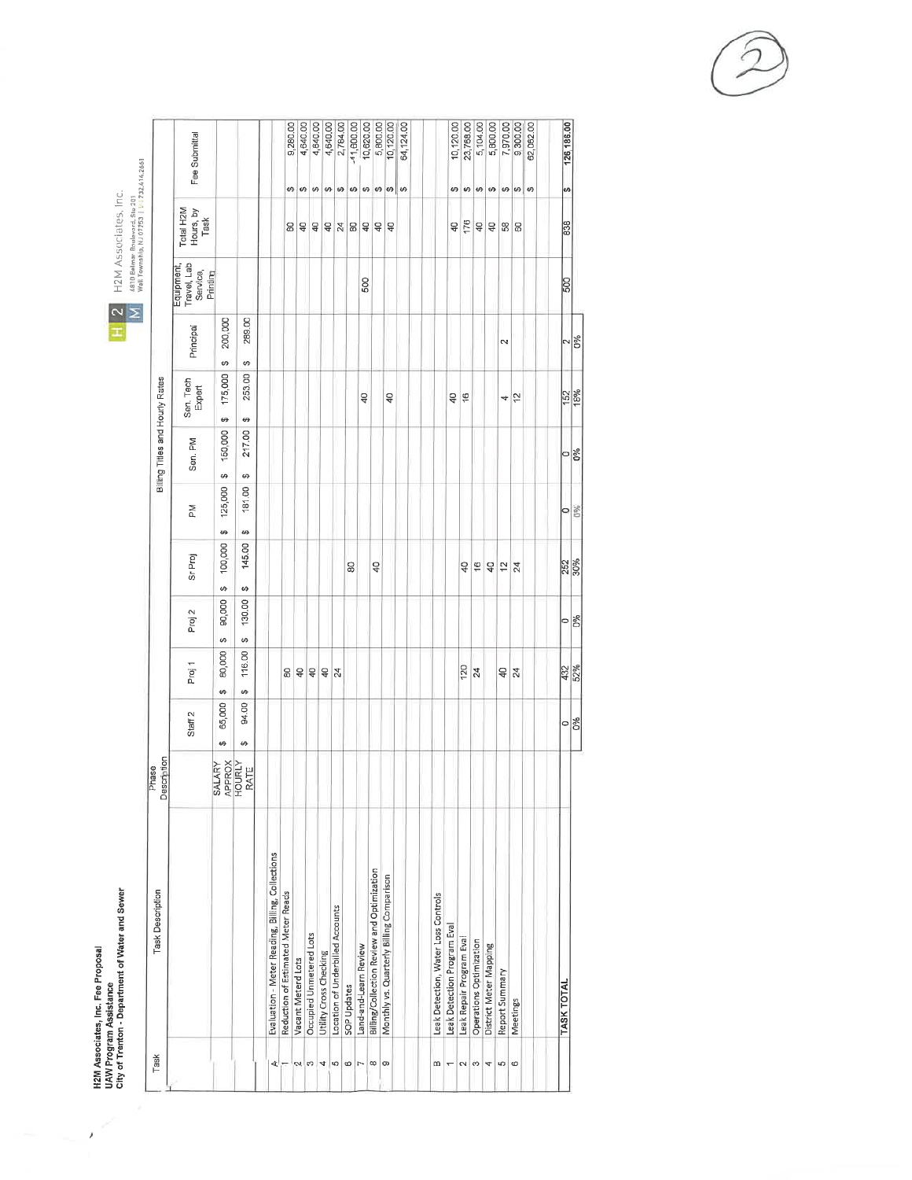H2M Associates, Inc. Fee Proposal<br>UAW Program Assistance<br>City of Trenton - Department of Water and Sewer

4810 Balmar Boulevard, Ste 201<br>Wall Township, NJ 07753 | 1-1 732,414,2661 H 2 H2M Associates, Inc.<br>4810 Behmar Boulevard Se 201<br>M Wall Township, NJ 07753 | Lil 7324

| Task           | Task Description                                 | Description<br>Phase |                    |                             |               |                |                | Billing Titles and Hourly Rates |                                 |                  |                                                   |                                |                                     |                             |
|----------------|--------------------------------------------------|----------------------|--------------------|-----------------------------|---------------|----------------|----------------|---------------------------------|---------------------------------|------------------|---------------------------------------------------|--------------------------------|-------------------------------------|-----------------------------|
|                |                                                  |                      | Staff <sub>2</sub> | Proj 1                      | Proj 2        | Sr Proj        | ΣÃ             | Sen. PM                         | Sen. Tech<br>Expert             | Principal        | Equipment,<br>Travel, Lab<br>Service,<br>Printing | Total H2M<br>Hours, by<br>Task |                                     | Fee Submittal               |
|                |                                                  | SALARY<br>APPROX     | 65,000<br>⇔        | 80,000<br>₩                 | 90,000<br>↮   | 100,000<br>မာ  | 125,000<br>₩   | 150,000<br>G)                   | 175,000<br>↮                    | 200,000<br>Ø     |                                                   |                                |                                     |                             |
|                |                                                  | HOURLY<br>RATE       | 94.00<br>↮         | 116.00<br>$\leftrightarrow$ | 130.00<br>မာ  | 145.00<br>မာ   | S<br>187.<br>₩ | 217.00<br>↮                     | 253.00<br>$\boldsymbol{\theta}$ | 289.00<br>s,     |                                                   |                                |                                     |                             |
| ∢              | Evaluation - Meter Reading, Billing, Collections |                      |                    |                             |               |                |                |                                 |                                 |                  |                                                   |                                |                                     |                             |
|                | Reduction of Estimated Meter Reads               |                      |                    | 8                           |               |                |                |                                 |                                 |                  |                                                   | 8                              |                                     | 9,280.00                    |
| U,             | Vacant Meterd Lots                               |                      |                    | $\overline{\mathbf{q}}$     |               |                |                |                                 |                                 |                  |                                                   | $\overline{a}$                 | $\omega$                            | 4,640.00                    |
| S              | Occupied Unmetered Lots                          |                      |                    | $\overline{40}$             |               |                |                |                                 |                                 |                  |                                                   | $\overline{a}$                 | $\Theta$                            | 4,640.00                    |
| 4              | Utility Cross Checking                           |                      |                    | $rac{4}{3}$                 |               |                |                |                                 |                                 |                  |                                                   |                                |                                     | 4,640.00                    |
| l up           | Location of Underbilled Accounts                 |                      |                    |                             |               |                |                |                                 |                                 |                  |                                                   | $rac{40}{24}$                  | $\theta$                            | 2,784.00                    |
| $\pmb{\circ}$  | SOP Updates                                      |                      |                    |                             |               | 8              |                |                                 |                                 |                  |                                                   | 59                             | $\omega$                            | $-41,600.00$                |
| r.             | Land-and-Learn Review                            |                      |                    |                             |               |                |                |                                 | $\frac{1}{4}$                   |                  | 500                                               | $\overline{a}$                 |                                     | 10,620.00                   |
| ${}^{\circ}$   | Billing/Collection Review and Optimization       |                      |                    |                             |               | $\overline{Q}$ |                |                                 |                                 |                  |                                                   | $\overline{a}$                 |                                     | 5,800.00                    |
| $\infty$       | Monthly vs. Quarterly Billing Comparison         |                      |                    |                             |               |                |                |                                 | $\frac{1}{4}$                   |                  |                                                   | $\overline{a}$                 | $\n  0\n  0\n  0\n  0$              | 10,120.00                   |
|                |                                                  |                      |                    |                             |               |                |                |                                 |                                 |                  |                                                   |                                |                                     | 64,124.00                   |
| m              | Leak Detection, Water Loss Controls              |                      |                    |                             |               |                |                |                                 |                                 |                  |                                                   |                                |                                     |                             |
| $\overline{ }$ | Leak Detection Program Eval                      |                      |                    |                             |               |                |                |                                 | $\frac{1}{4}$                   |                  |                                                   | $\theta$                       | 69                                  | 10,120.00                   |
| $\sim$         | Leak Repair Program Eval                         |                      |                    | 120                         |               | ð              |                |                                 | ë                               |                  |                                                   | 176                            | s                                   | 23,768.00                   |
| $\infty$       | Operations Optimization                          |                      |                    | $\overline{a}$              |               | $\frac{6}{2}$  |                |                                 |                                 |                  |                                                   | $\mathsf{Q}$                   | ↮                                   |                             |
| 4              | District Meter Mapping                           |                      |                    |                             |               | $\overline{a}$ |                |                                 |                                 |                  |                                                   | $\mathbb Q$                    |                                     | $\frac{5,104.00}{5,800.00}$ |
| ю              | Report Summary                                   |                      |                    | $\overline{a}$              |               | $\frac{1}{2}$  |                |                                 | 4                               | $\sim$           |                                                   | $\mathbb{S}^2$                 |                                     | 7,970.00                    |
| O              | Meetings                                         |                      |                    | $\mathbb{Z}$                |               | 24             |                |                                 | 12                              |                  |                                                   | 8                              | $\theta$ $\theta$ $\theta$ $\theta$ | 9 300.00                    |
|                |                                                  |                      |                    |                             |               |                |                |                                 |                                 |                  |                                                   |                                |                                     | 62,062.00                   |
|                | <b>TASK TOTAL</b>                                |                      |                    |                             |               |                |                |                                 |                                 |                  |                                                   |                                |                                     |                             |
|                |                                                  |                      | 이용                 | 432                         | $\frac{1}{2}$ | 252            | $\circ$        | 야옹                              | $\frac{152}{18%}$               | $\frac{2}{10\%}$ | 500                                               | 838                            | m                                   | 126,186.00                  |
|                |                                                  |                      |                    | $\frac{8}{32\%}$            |               |                |                |                                 |                                 |                  |                                                   |                                |                                     |                             |

÷